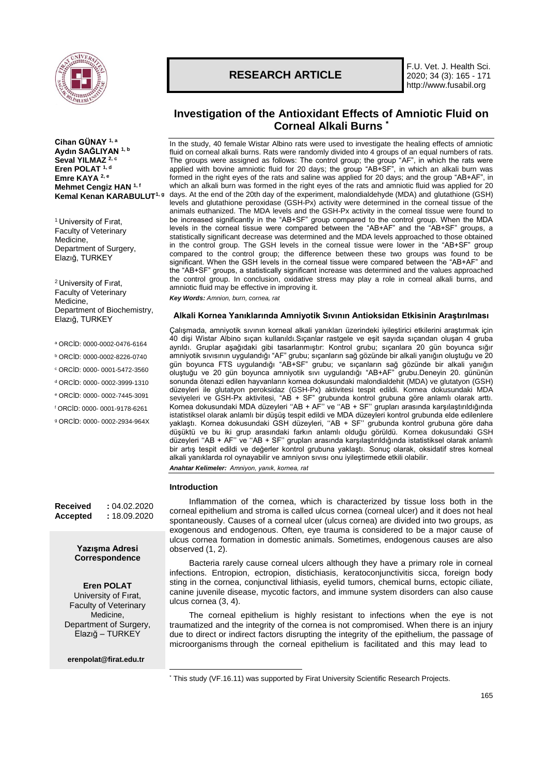

**Cihan GÜNAY 1, a Aydın SAĞLIYAN 1, b Seval YILMAZ 2, c Eren POLAT 1, d Emre KAYA 2, e Mehmet Cengiz HAN 1, f Kemal Kenan KARABULUT1, g**

<sup>1</sup> University of Fırat, Faculty of Veterinary Medicine, Department of Surgery, Elazığ, TURKEY

<sup>2</sup>University of Fırat, Faculty of Veterinary Medicine, Department of Biochemistry, Elazığ, TURKEY

- <sup>a</sup> ORCİD: 0000-0002-0476-6164
- <sup>b</sup> ORCİD: 0000-0002-8226-0740
- <sup>c</sup> ORCİD: 0000- 0001-5472-3560
- <sup>d</sup> ORCİD: 0000- 0002-3999-1310
- <sup>e</sup> ORCİD: 0000- 0002-7445-3091
- <sup>f</sup> ORCİD: 0000- 0001-9178-6261
- <sup>g</sup> ORCİD: 0000- 0002-2934-964X

**Received :** 04.02.2020 **Accepted :** 18.09.2020

## **Yazışma Adresi Correspondence**

## **Eren POLAT**

University of Fırat, Faculty of Veterinary Medicine, Department of Surgery, Elazığ – TURKEY

**[erenpolat@firat.edu.tr](mailto:ckalkan@firat.edu.tr)**

# **RESEARCH ARTICLE**

F.U. Vet. J. Health Sci. 2020; 34 (3): 165 - 171 http://www.fusabil.org

## **Investigation of the Antioxidant Effects of Amniotic Fluid on Corneal Alkali Burns \***

In the study, 40 female Wistar Albino rats were used to investigate the healing effects of amniotic fluid on corneal alkali burns. Rats were randomly divided into 4 groups of an equal numbers of rats. The groups were assigned as follows: The control group; the group "AF", in which the rats were applied with bovine amniotic fluid for 20 days; the group "AB+SF", in which an alkali burn was formed in the right eyes of the rats and saline was applied for 20 days; and the group "AB+AF", in which an alkali burn was formed in the right eyes of the rats and amniotic fluid was applied for 20 days. At the end of the 20th day of the experiment, malondialdehyde (MDA) and glutathione (GSH) levels and glutathione peroxidase (GSH-Px) activity were determined in the corneal tissue of the animals euthanized. The MDA levels and the GSH-Px activity in the corneal tissue were found to be increased significantly in the "AB+SF" group compared to the control group. When the MDA levels in the corneal tissue were compared between the "AB+AF" and the "AB+SF" groups, a statistically significant decrease was determined and the MDA levels approached to those obtained in the control group. The GSH levels in the corneal tissue were lower in the "AB+SF" group compared to the control group; the difference between these two groups was found to be significant. When the GSH levels in the corneal tissue were compared between the "AB+AF" and the "AB+SF" groups, a statistically significant increase was determined and the values approached the control group. In conclusion, oxidative stress may play a role in corneal alkali burns, and amniotic fluid may be effective in improving it.

*Key Words: Amnion, burn, cornea, rat*

## **Alkali Kornea Yanıklarında Amniyotik Sıvının Antioksidan Etkisinin Araştırılması**

Çalışmada, amniyotik sıvının korneal alkali yanıkları üzerindeki iyileştirici etkilerini araştırmak için 40 dişi Wistar Albino sıçan kullanıldı.Sıçanlar rastgele ve eşit sayıda sıçandan oluşan 4 gruba ayrıldı. Gruplar aşağıdaki gibi tasarlanmıştır: Kontrol grubu; sıçanlara 20 gün boyunca sığır amniyotik sıvısının uygulandığı "AF" grubu; sıçanların sağ gözünde bir alkali yanığın oluştuğu ve 20 gün boyunca FTS uygulandığı "AB+SF" grubu; ve sıçanların sağ gözünde bir alkali yanığın oluştuğu ve 20 gün boyunca amniyotik sıvı uygulandığı "AB+AF" grubu.Deneyin 20. gününün sonunda ötenazi edilen hayvanların kornea dokusundaki malondialdehit (MDA) ve glutatyon (GSH) düzeyleri ile glutatyon peroksidaz (GSH-Px) aktivitesi tespit edildi. Kornea dokusundaki MDA seviyeleri ve GSH-Px aktivitesi, "AB + SF" grubunda kontrol grubuna göre anlamlı olarak arttı. Kornea dokusundaki MDA düzeyleri ''AB + AF'' ve ''AB + SF'' grupları arasında karşılaştırıldığında istatistiksel olarak anlamlı bir düşüş tespit edildi ve MDA düzeyleri kontrol grubunda elde edilenlere yaklaştı. Kornea dokusundaki GSH düzeyleri, ''AB + SF'' grubunda kontrol grubuna göre daha düşüktü ve bu iki grup arasındaki farkın anlamlı olduğu görüldü. Kornea dokusundaki GSH düzeyleri ''AB + AF'' ve ''AB + SF'' grupları arasında karşılaştırıldığında istatistiksel olarak anlamlı bir artış tespit edildi ve değerler kontrol grubuna yaklaştı. Sonuç olarak, oksidatif stres korneal alkali yanıklarda rol oynayabilir ve amniyon sıvısı onu iyileştirmede etkili olabilir.

*Anahtar Kelimeler: Amniyon, yanık, kornea, rat*

#### **Introduction**

1

Inflammation of the cornea, which is characterized by tissue loss both in the corneal epithelium and stroma is called ulcus cornea (corneal ulcer) and it does not heal spontaneously. Causes of a corneal ulcer (ulcus cornea) are divided into two groups, as exogenous and endogenous. Often, eye trauma is considered to be a major cause of ulcus cornea formation in domestic animals. Sometimes, endogenous causes are also observed (1, 2).

Bacteria rarely cause corneal ulcers although they have a primary role in corneal infections. Entropion, ectropion, distichiasis, keratoconjunctivitis sicca, foreign body sting in the cornea, conjunctival lithiasis, eyelid tumors, chemical burns, ectopic ciliate, canine juvenile disease, mycotic factors, and immune system disorders can also cause ulcus cornea (3, 4).

The corneal epithelium is highly resistant to infections when the eye is not traumatized and the integrity of the cornea is not compromised. When there is an injury due to direct or indirect factors disrupting the integrity of the epithelium, the passage of microorganisms through the corneal epithelium is facilitated and this may lead to

<sup>\*</sup> This study (VF.16.11) was supported by Firat University Scientific Research Projects.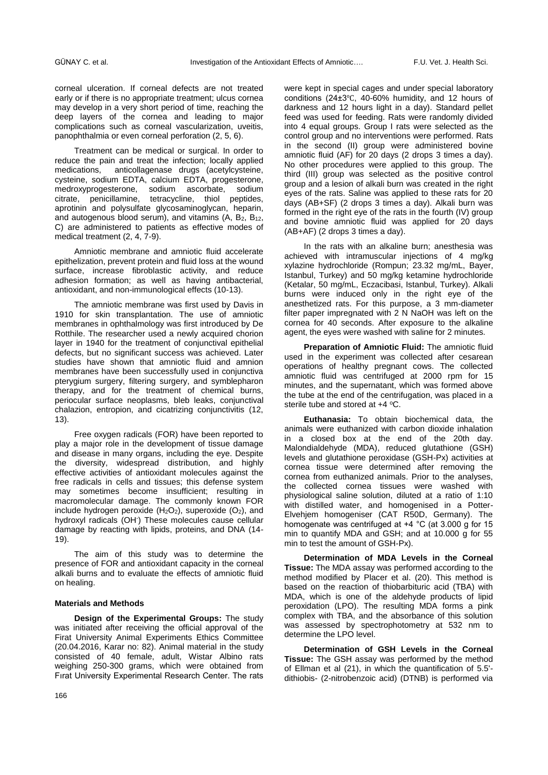corneal ulceration. If corneal defects are not treated early or if there is no appropriate treatment; ulcus cornea may develop in a very short period of time, reaching the deep layers of the cornea and leading to major complications such as corneal vascularization, uveitis, panophthalmia or even corneal perforation (2, 5, 6).

Treatment can be medical or surgical. In order to reduce the pain and treat the infection; locally applied medications, anticollagenase drugs (acetylcysteine, cysteine, sodium EDTA, calcium EDTA, progesterone, medroxyprogesterone, sodium ascorbate, sodium citrate, penicillamine, tetracycline, thiol peptides, aprotinin and polysulfate glycosaminoglycan, heparin, and autogenous blood serum), and vitamins  $(A, B<sub>2</sub>, B<sub>12</sub>)$ C) are administered to patients as effective modes of medical treatment (2, 4, 7-9).

Amniotic membrane and amniotic fluid accelerate epithelization, prevent protein and fluid loss at the wound surface, increase fibroblastic activity, and reduce adhesion formation; as well as having antibacterial, antioxidant, and non-immunological effects (10-13).

The amniotic membrane was first used by Davis in 1910 for skin transplantation. The use of amniotic membranes in ophthalmology was first introduced by De Rotthile. The researcher used a newly acquired chorion layer in 1940 for the treatment of conjunctival epithelial defects, but no significant success was achieved. Later studies have shown that amniotic fluid and amnion membranes have been successfully used in conjunctiva pterygium surgery, filtering surgery, and symblepharon therapy, and for the treatment of chemical burns, periocular surface neoplasms, bleb leaks, conjunctival chalazion, entropion, and cicatrizing conjunctivitis (12, 13).

Free oxygen radicals (FOR) have been reported to play a major role in the development of tissue damage and disease in many organs, including the eye. Despite the diversity, widespread distribution, and highly effective activities of antioxidant molecules against the free radicals in cells and tissues; this defense system may sometimes become insufficient; resulting in macromolecular damage. The commonly known FOR include hydrogen peroxide  $(H_2O_2)$ , superoxide  $(O_2)$ , and hydroxyl radicals (OH<sup>-</sup>) These molecules cause cellular damage by reacting with lipids, proteins, and DNA (14- 19).

The aim of this study was to determine the presence of FOR and antioxidant capacity in the corneal alkali burns and to evaluate the effects of amniotic fluid on healing.

## **Materials and Methods**

**Design of the Experimental Groups:** The study was initiated after receiving the official approval of the Firat University Animal Experiments Ethics Committee (20.04.2016, Karar no: 82). Animal material in the study consisted of 40 female, adult, Wistar Albino rats weighing 250-300 grams, which were obtained from Fırat University Experimental Research Center. The rats were kept in special cages and under special laboratory conditions (24±3℃, 40-60% humidity, and 12 hours of darkness and 12 hours light in a day). Standard pellet feed was used for feeding. Rats were randomly divided into 4 equal groups. Group I rats were selected as the control group and no interventions were performed. Rats in the second (II) group were administered bovine amniotic fluid (AF) for 20 days (2 drops 3 times a day). No other procedures were applied to this group. The third (III) group was selected as the positive control group and a lesion of alkali burn was created in the right eyes of the rats. Saline was applied to these rats for 20 days (AB+SF) (2 drops 3 times a day). Alkali burn was formed in the right eye of the rats in the fourth (IV) group and bovine amniotic fluid was applied for 20 days (AB+AF) (2 drops 3 times a day).

In the rats with an alkaline burn; anesthesia was achieved with intramuscular injections of 4 mg/kg xylazine hydrochloride (Rompun; 23.32 mg/mL, Bayer, Istanbul, Turkey) and 50 mg/kg ketamine hydrochloride (Ketalar, 50 mg/mL, Eczacibasi, Istanbul, Turkey). Alkali burns were induced only in the right eye of the anesthetized rats. For this purpose, a 3 mm-diameter filter paper impregnated with 2 N NaOH was left on the cornea for 40 seconds. After exposure to the alkaline agent, the eyes were washed with saline for 2 minutes.

**Preparation of Amniotic Fluid:** The amniotic fluid used in the experiment was collected after cesarean operations of healthy pregnant cows. The collected amniotic fluid was centrifuged at 2000 rpm for 15 minutes, and the supernatant, which was formed above the tube at the end of the centrifugation, was placed in a sterile tube and stored at  $+4$  °C.

**Euthanasia:** To obtain biochemical data, the animals were euthanized with carbon dioxide inhalation in a closed box at the end of the 20th day. Malondialdehyde (MDA), reduced glutathione (GSH) levels and glutathione peroxidase (GSH-Px) activities at cornea tissue were determined after removing the cornea from euthanized animals. Prior to the analyses, the collected cornea tissues were washed with physiological saline solution, diluted at a ratio of 1:10 with distilled water, and homogenised in a Potter-Elvehjem homogeniser (CAT R50D, Germany). The homogenate was centrifuged at +4 °C (at 3.000 g for 15 min to quantify MDA and GSH; and at 10.000 g for 55 min to test the amount of GSH-Px).

**Determination of MDA Levels in the Corneal Tissue:** The MDA assay was performed according to the method modified by Placer et al. (20). This method is based on the reaction of thiobarbituric acid (TBA) with MDA, which is one of the aldehyde products of lipid peroxidation (LPO). The resulting MDA forms a pink complex with TBA, and the absorbance of this solution was assessed by spectrophotometry at 532 nm to determine the LPO level.

**Determination of GSH Levels in the Corneal Tissue:** The GSH assay was performed by the method of Ellman et al (21), in which the quantification of 5.5' dithiobis- (2-nitrobenzoic acid) (DTNB) is performed via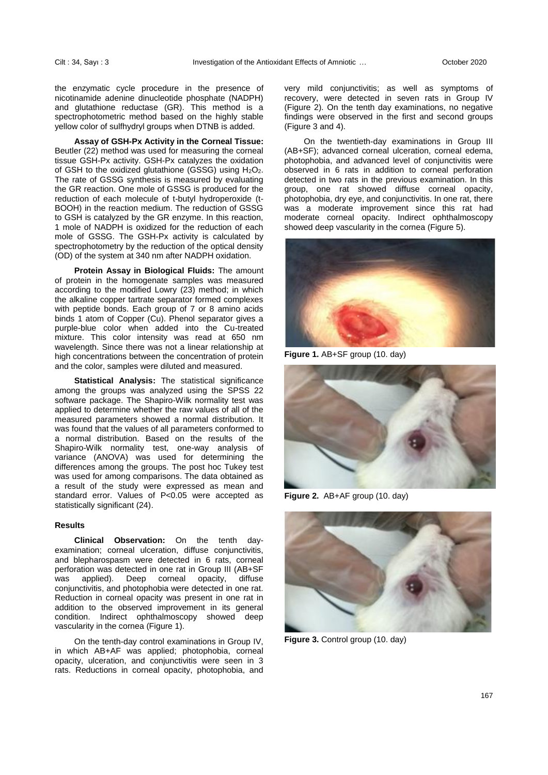the enzymatic cycle procedure in the presence of nicotinamide adenine dinucleotide phosphate (NADPH) and glutathione reductase (GR). This method is a spectrophotometric method based on the highly stable yellow color of sulfhydryl groups when DTNB is added.

**Assay of GSH-Px Activity in the Corneal Tissue:**  Beutler (22) method was used for measuring the corneal tissue GSH-Px activity. GSH-Px catalyzes the oxidation of GSH to the oxidized glutathione (GSSG) using  $H_2O_2$ . The rate of GSSG synthesis is measured by evaluating the GR reaction. One mole of GSSG is produced for the reduction of each molecule of t-butyl hydroperoxide (t-BOOH) in the reaction medium. The reduction of GSSG to GSH is catalyzed by the GR enzyme. In this reaction, 1 mole of NADPH is oxidized for the reduction of each mole of GSSG. The GSH-Px activity is calculated by spectrophotometry by the reduction of the optical density (OD) of the system at 340 nm after NADPH oxidation.

**Protein Assay in Biological Fluids:** The amount of protein in the homogenate samples was measured according to the modified Lowry (23) method; in which the alkaline copper tartrate separator formed complexes with peptide bonds. Each group of 7 or 8 amino acids binds 1 atom of Copper (Cu). Phenol separator gives a purple-blue color when added into the Cu-treated mixture. This color intensity was read at 650 nm wavelength. Since there was not a linear relationship at high concentrations between the concentration of protein and the color, samples were diluted and measured.

**Statistical Analysis:** The statistical significance among the groups was analyzed using the SPSS 22 software package. The Shapiro-Wilk normality test was applied to determine whether the raw values of all of the measured parameters showed a normal distribution. It was found that the values of all parameters conformed to a normal distribution. Based on the results of the Shapiro-Wilk normality test, one-way analysis of variance (ANOVA) was used for determining the differences among the groups. The post hoc Tukey test was used for among comparisons. The data obtained as a result of the study were expressed as mean and standard error. Values of P<0.05 were accepted as statistically significant (24).

### **Results**

**Clinical Observation:** On the tenth dayexamination; corneal ulceration, diffuse conjunctivitis, and blepharospasm were detected in 6 rats, corneal perforation was detected in one rat in Group III (AB+SF was applied). Deep corneal opacity, diffuse conjunctivitis, and photophobia were detected in one rat. Reduction in corneal opacity was present in one rat in addition to the observed improvement in its general condition. Indirect ophthalmoscopy showed deep vascularity in the cornea (Figure 1).

On the tenth-day control examinations in Group IV, in which AB+AF was applied; photophobia, corneal opacity, ulceration, and conjunctivitis were seen in 3 rats. Reductions in corneal opacity, photophobia, and very mild conjunctivitis; as well as symptoms of recovery, were detected in seven rats in Group IV (Figure 2). On the tenth day examinations, no negative findings were observed in the first and second groups (Figure 3 and 4).

On the twentieth-day examinations in Group III (AB+SF); advanced corneal ulceration, corneal edema, photophobia, and advanced level of conjunctivitis were observed in 6 rats in addition to corneal perforation detected in two rats in the previous examination. In this group, one rat showed diffuse corneal opacity, photophobia, dry eye, and conjunctivitis. In one rat, there was a moderate improvement since this rat had moderate corneal opacity. Indirect ophthalmoscopy showed deep vascularity in the cornea (Figure 5).



**Figure 1.** AB+SF group (10. day)



**Figure 2.** AB+AF group (10. day)



**Figure 3.** Control group (10. day)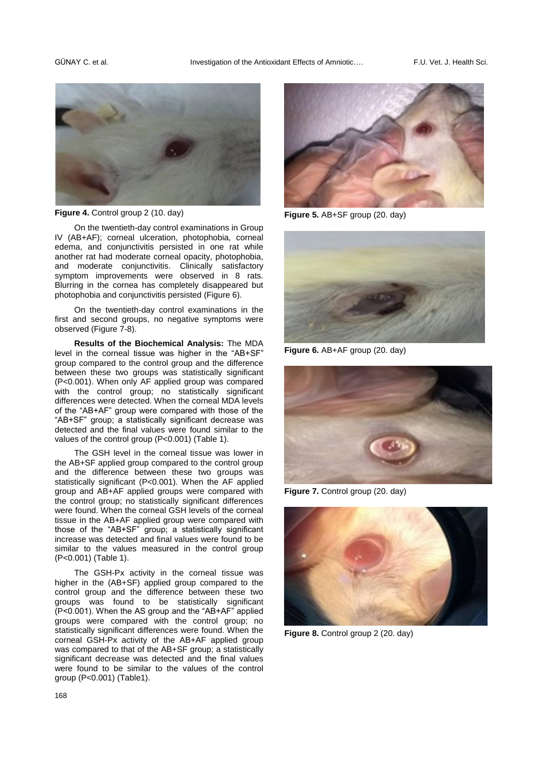

**Figure 4.** Control group 2 (10. day)

On the twentieth-day control examinations in Group IV (AB+AF); corneal ulceration, photophobia, corneal edema, and conjunctivitis persisted in one rat while another rat had moderate corneal opacity, photophobia, and moderate conjunctivitis. Clinically satisfactory symptom improvements were observed in 8 rats. Blurring in the cornea has completely disappeared but photophobia and conjunctivitis persisted (Figure 6).

On the twentieth-day control examinations in the first and second groups, no negative symptoms were observed (Figure 7-8).

**Results of the Biochemical Analysis:** The MDA level in the corneal tissue was higher in the "AB+SF" group compared to the control group and the difference between these two groups was statistically significant (P<0.001). When only AF applied group was compared with the control group; no statistically significant differences were detected. When the corneal MDA levels of the "AB+AF" group were compared with those of the "AB+SF" group; a statistically significant decrease was detected and the final values were found similar to the values of the control group (P<0.001) (Table 1).

The GSH level in the corneal tissue was lower in the AB+SF applied group compared to the control group and the difference between these two groups was statistically significant (P<0.001). When the AF applied group and AB+AF applied groups were compared with the control group; no statistically significant differences were found. When the corneal GSH levels of the corneal tissue in the AB+AF applied group were compared with those of the "AB+SF" group; a statistically significant increase was detected and final values were found to be similar to the values measured in the control group (P<0.001) (Table 1).

The GSH-Px activity in the corneal tissue was higher in the (AB+SF) applied group compared to the control group and the difference between these two groups was found to be statistically significant (P<0.001). When the AS group and the "AB+AF" applied groups were compared with the control group; no statistically significant differences were found. When the corneal GSH-Px activity of the AB+AF applied group was compared to that of the AB+SF group; a statistically significant decrease was detected and the final values were found to be similar to the values of the control group (P<0.001) (Table1).



**Figure 5.** AB+SF group (20. day)



**Figure 6.** AB+AF group (20. day)



**Figure 7.** Control group (20. day)



**Figure 8.** Control group 2 (20. day)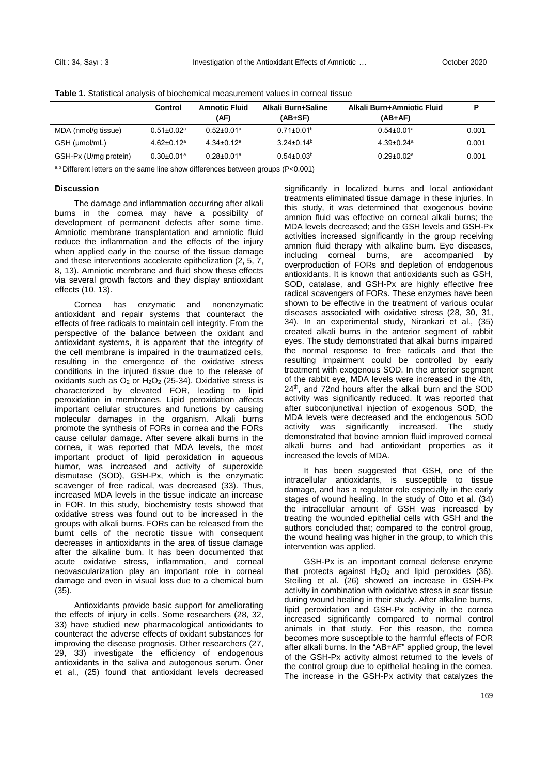|                       | Control                      | <b>Amnotic Fluid</b>         | Alkali Burn+Saline | Alkali Burn+Amniotic Fluid   | P     |
|-----------------------|------------------------------|------------------------------|--------------------|------------------------------|-------|
|                       |                              | (AF)                         | (AB+SF)            | (AB+AF)                      |       |
| MDA (nmol/g tissue)   | $0.51 \pm 0.02$ <sup>a</sup> | $0.52 \pm 0.01$ <sup>a</sup> | $0.71\pm0.01^b$    | $0.54 \pm 0.01$ <sup>a</sup> | 0.001 |
| GSH (µmol/mL)         | $4.62 \pm 0.12$ <sup>a</sup> | $4.34 \pm 0.12$ <sup>a</sup> | $3.24 \pm 0.14^b$  | $4.39 \pm 0.24$ <sup>a</sup> | 0.001 |
| GSH-Px (U/mg protein) | $0.30 \pm 0.01$ <sup>a</sup> | $0.28 \pm 0.01$ <sup>a</sup> | $0.54 \pm 0.03^b$  | $0.29 \pm 0.02$ <sup>a</sup> | 0.001 |

**Table 1.** Statistical analysis of biochemical measurement values in corneal tissue

a.b Different letters on the same line show differences between groups (P<0.001)

### **Discussion**

The damage and inflammation occurring after alkali burns in the cornea may have a possibility of development of permanent defects after some time. Amniotic membrane transplantation and amniotic fluid reduce the inflammation and the effects of the injury when applied early in the course of the tissue damage and these interventions accelerate epithelization (2, 5, 7, 8, 13). Amniotic membrane and fluid show these effects via several growth factors and they display antioxidant effects (10, 13).

Cornea has enzymatic and nonenzymatic antioxidant and repair systems that counteract the effects of free radicals to maintain cell integrity. From the perspective of the balance between the oxidant and antioxidant systems, it is apparent that the integrity of the cell membrane is impaired in the traumatized cells, resulting in the emergence of the oxidative stress conditions in the injured tissue due to the release of oxidants such as  $O_2$  or H<sub>2</sub>O<sub>2</sub> (25-34). Oxidative stress is characterized by elevated FOR, leading to lipid peroxidation in membranes. Lipid peroxidation affects important cellular structures and functions by causing molecular damages in the organism. Alkali burns promote the synthesis of FORs in cornea and the FORs cause cellular damage. After severe alkali burns in the cornea, it was reported that MDA levels, the most important product of lipid peroxidation in aqueous humor, was increased and activity of superoxide dismutase (SOD), GSH-Px, which is the enzymatic scavenger of free radical, was decreased (33). Thus, increased MDA levels in the tissue indicate an increase in FOR. In this study, biochemistry tests showed that oxidative stress was found out to be increased in the groups with alkali burns. FORs can be released from the burnt cells of the necrotic tissue with consequent decreases in antioxidants in the area of tissue damage after the alkaline burn. It has been documented that acute oxidative stress, inflammation, and corneal neovascularization play an important role in corneal damage and even in visual loss due to a chemical burn (35).

Antioxidants provide basic support for ameliorating the effects of injury in cells. Some researchers (28, 32, 33) have studied new pharmacological antioxidants to counteract the adverse effects of oxidant substances for improving the disease prognosis. Other researchers (27, 29, 33) investigate the efficiency of endogenous antioxidants in the saliva and autogenous serum. Öner et al., (25) found that antioxidant levels decreased

significantly in localized burns and local antioxidant treatments eliminated tissue damage in these injuries. In this study, it was determined that exogenous bovine amnion fluid was effective on corneal alkali burns; the MDA levels decreased; and the GSH levels and GSH-Px activities increased significantly in the group receiving amnion fluid therapy with alkaline burn. Eye diseases, including corneal burns, are accompanied by overproduction of FORs and depletion of endogenous antioxidants. It is known that antioxidants such as GSH, SOD, catalase, and GSH-Px are highly effective free radical scavengers of FORs. These enzymes have been shown to be effective in the treatment of various ocular diseases associated with oxidative stress (28, 30, 31, 34). In an experimental study, Nirankari et al., (35) created alkali burns in the anterior segment of rabbit eyes. The study demonstrated that alkali burns impaired the normal response to free radicals and that the resulting impairment could be controlled by early treatment with exogenous SOD. In the anterior segment of the rabbit eye, MDA levels were increased in the 4th, 24th, and 72nd hours after the alkali burn and the SOD activity was significantly reduced. It was reported that after subconjunctival injection of exogenous SOD, the MDA levels were decreased and the endogenous SOD activity was significantly increased. The study demonstrated that bovine amnion fluid improved corneal alkali burns and had antioxidant properties as it increased the levels of MDA.

It has been suggested that GSH, one of the intracellular antioxidants, is susceptible to tissue damage, and has a regulator role especially in the early stages of wound healing. In the study of Otto et al. (34) the intracellular amount of GSH was increased by treating the wounded epithelial cells with GSH and the authors concluded that; compared to the control group, the wound healing was higher in the group, to which this intervention was applied.

GSH-Px is an important corneal defense enzyme that protects against  $H_2O_2$  and lipid peroxides (36). Steiling et al. (26) showed an increase in GSH-Px activity in combination with oxidative stress in scar tissue during wound healing in their study. After alkaline burns, lipid peroxidation and GSH-Px activity in the cornea increased significantly compared to normal control animals in that study. For this reason, the cornea becomes more susceptible to the harmful effects of FOR after alkali burns. In the "AB+AF" applied group, the level of the GSH-Px activity almost returned to the levels of the control group due to epithelial healing in the cornea. The increase in the GSH-Px activity that catalyzes the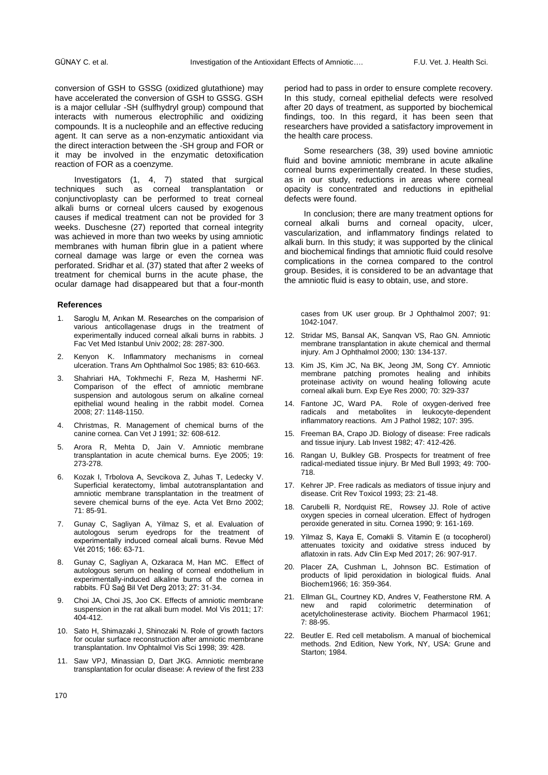conversion of GSH to GSSG (oxidized glutathione) may have accelerated the conversion of GSH to GSSG. GSH is a major cellular -SH (sulfhydryl group) compound that interacts with numerous electrophilic and oxidizing compounds. It is a nucleophile and an effective reducing agent. It can serve as a non-enzymatic antioxidant via the direct interaction between the -SH group and FOR or it may be involved in the enzymatic detoxification reaction of FOR as a coenzyme*.*

Investigators (1, 4, 7) stated that surgical techniques such as corneal transplantation or conjunctivoplasty can be performed to treat corneal alkali burns or corneal ulcers caused by exogenous causes if medical treatment can not be provided for 3 weeks. Duschesne (27) reported that corneal integrity was achieved in more than two weeks by using amniotic membranes with human fibrin glue in a patient where corneal damage was large or even the cornea was perforated. Sridhar et al. (37) stated that after 2 weeks of treatment for chemical burns in the acute phase, the ocular damage had disappeared but that a four-month

#### **References**

- 1. Saroglu M, Arıkan M. Researches on the comparision of various anticollagenase drugs in the treatment of experimentally induced corneal alkali burns in rabbits. J Fac Vet Med Istanbul Univ 2002; 28: 287-300.
- 2. Kenyon K. Inflammatory mechanisms in corneal ulceration. Trans Am Ophthalmol Soc 1985; 83: 610-663.
- 3. Shahriari HA, Tokhmechi F, Reza M, Hashermi NF. Comparison of the effect of amniotic membrane suspension and autologous serum on alkaline corneal epithelial wound healing in the rabbit model. Cornea 2008; 27: 1148-1150.
- 4. Christmas, R. Management of chemical burns of the canine cornea. Can Vet J 1991; 32: 608-612.
- 5. Arora R, Mehta D, Jain V. Amniotic membrane transplantation in acute chemical burns. Eye 2005; 19: 273-278.
- 6. Kozak I, Trbolova A, Sevcikova Z, Juhas T, Ledecky V. Superficial keratectomy, limbal autotransplantation and amniotic membrane transplantation in the treatment of severe chemical burns of the eye. Acta Vet Brno 2002; 71: 85-91.
- 7. Gunay C, Sagliyan A, Yilmaz S, et al. Evaluation of autologous serum eyedrops for the treatment of experimentally induced corneal alcali burns. Revue Méd Vét 2015; 166: 63-71.
- 8. Gunay C, Sagliyan A, Ozkaraca M, Han MC. Effect of autologous serum on healing of corneal endothelium in experimentally-induced alkaline burns of the cornea in rabbits. FÜ Sağ Bil Vet Derg 2013; 27: 31-34.
- 9. Choi JA, Choi JS, Joo CK. Effects of amniotic membrane suspension in the rat alkali burn model. Mol Vis 2011; 17: 404-412.
- 10. Sato H, Shimazaki J, Shinozaki N. Role of growth factors for ocular surface reconstruction after amniotic membrane transplantation. Inv Ophtalmol Vis Sci 1998; 39: 428.
- 11. Saw VPJ, Minassian D, Dart JKG. Amniotic membrane transplantation for ocular disease: A review of the first 233

period had to pass in order to ensure complete recovery. In this study, corneal epithelial defects were resolved after 20 days of treatment, as supported by biochemical findings, too. In this regard, it has been seen that researchers have provided a satisfactory improvement in the health care process.

Some researchers (38, 39) used bovine amniotic fluid and bovine amniotic membrane in acute alkaline corneal burns experimentally created. In these studies, as in our study, reductions in areas where corneal opacity is concentrated and reductions in epithelial defects were found.

In conclusion; there are many treatment options for corneal alkali burns and corneal opacity, ulcer, vascularization, and inflammatory findings related to alkali burn. In this study; it was supported by the clinical and biochemical findings that amniotic fluid could resolve complications in the cornea compared to the control group. Besides, it is considered to be an advantage that the amniotic fluid is easy to obtain, use, and store.

cases from UK user group. Br J Ophthalmol 2007; 91: 1042-1047.

- 12. Stridar MS, Bansal AK, Sanqvan VS, Rao GN. Amniotic membrane transplantation in akute chemical and thermal injury. Am J Ophthalmol 2000; 130: 134-137.
- 13. Kim JS, Kim JC, Na BK, Jeong JM, Song CY. Amniotic membrane patching promotes healing and inhibits proteinase activity on wound healing following acute corneal alkali burn. Exp Eye Res 2000; 70: 329-337
- 14. Fantone JC, Ward PA. Role of oxygen-derived free radicals and metabolites in leukocyte-dependent inflammatory reactions. Am J Pathol 1982; 107: 395.
- 15. Freeman BA, Crapo JD. Biology of disease: Free radicals and tissue injury. Lab Invest 1982; 47: 412-426.
- 16. Rangan U, Bulkley GB. Prospects for treatment of free radical-mediated tissue injury. Br Med Bull 1993; 49: 700- 718.
- 17. Kehrer JP. Free radicals as mediators of tissue injury and disease. Crit Rev Toxicol 1993; 23: 21-48.
- 18. Carubelli R, Nordquist RE, Rowsey JJ. Role of active oxygen species in corneal ulceration. Effect of hydrogen peroxide generated in situ. Cornea 1990; 9: 161-169.
- 19. Yilmaz S, Kaya E, Comakli S. Vitamin E (α tocopherol) attenuates toxicity and oxidative stress induced by aflatoxin in rats. Adv Clin Exp Med 2017; 26: 907-917.
- 20. Placer ZA, Cushman L, Johnson BC. Estimation of products of lipid peroxidation in biological fluids. Anal Biochem1966; 16: 359-364.
- 21. Ellman GL, Courtney KD, Andres V, Featherstone RM. A new and rapid colorimetric determination of acetylcholinesterase activity. Biochem Pharmacol 1961; 7: 88-95.
- 22. Beutler E. Red cell metabolism. A manual of biochemical methods. 2nd Edition, New York, NY, USA: Grune and Starton; 1984.